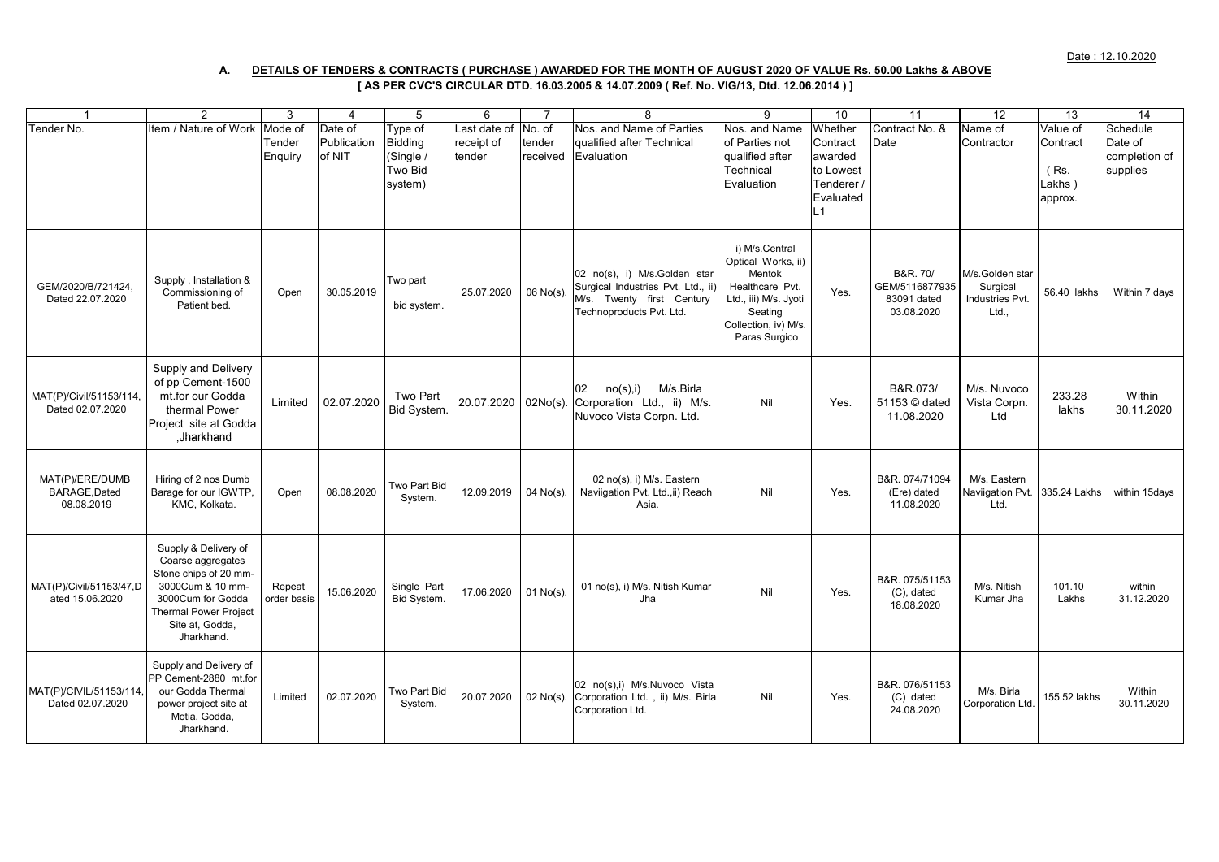Date : 12.10.2020

## **A. DETAILS OF TENDERS & CONTRACTS ( PURCHASE ) AWARDED FOR THE MONTH OF AUGUST 2020 OF VALUE Rs. 50.00 Lakhs & ABOVE [ AS PER CVC'S CIRCULAR DTD. 16.03.2005 & 14.07.2009 ( Ref. No. VIG/13, Dtd. 12.06.2014 ) ]**

| -1                                             | 2                                                                                                                                                                            | 3                            | $\overline{4}$                   | 5                                                            | 6                                    | $\overline{7}$               | 8                                                                                                                            | 9                                                                                                                                              | 10                                                                     | 11                                                      | 12                                                      | 13                                                | 14                                               |
|------------------------------------------------|------------------------------------------------------------------------------------------------------------------------------------------------------------------------------|------------------------------|----------------------------------|--------------------------------------------------------------|--------------------------------------|------------------------------|------------------------------------------------------------------------------------------------------------------------------|------------------------------------------------------------------------------------------------------------------------------------------------|------------------------------------------------------------------------|---------------------------------------------------------|---------------------------------------------------------|---------------------------------------------------|--------------------------------------------------|
| Tender No.                                     | Item / Nature of Work                                                                                                                                                        | Mode of<br>Tender<br>Enquiry | Date of<br>Publication<br>of NIT | Type of<br><b>Bidding</b><br>(Single /<br>Two Bid<br>system) | Last date of<br>receipt of<br>tender | No. of<br>tender<br>received | Nos. and Name of Parties<br>qualified after Technical<br>Evaluation                                                          | Nos. and Name<br>of Parties not<br>qualified after<br>Technical<br>Evaluation                                                                  | Whether<br>Contract<br>awarded<br>to Lowest<br>Tenderer /<br>Evaluated | Contract No. &<br>Date                                  | Name of<br>Contractor                                   | Value of<br>Contract<br>(Rs)<br>Lakhs)<br>approx. | Schedule<br>Date of<br>completion of<br>supplies |
| GEM/2020/B/721424<br>Dated 22.07.2020          | Supply, Installation &<br>Commissioning of<br>Patient bed.                                                                                                                   | Open                         | 30.05.2019                       | Two part<br>bid system.                                      | 25.07.2020                           | 06 No(s).                    | 02 no(s), i) M/s. Golden star<br>Surgical Industries Pvt. Ltd., ii)<br>M/s. Twenty first Century<br>Technoproducts Pvt. Ltd. | i) M/s.Central<br>Optical Works, ii)<br>Mentok<br>Healthcare Pvt.<br>Ltd., iii) M/s. Jyoti<br>Seating<br>Collection, iv) M/s.<br>Paras Surgico | Yes.                                                                   | B&R. 70/<br>GEM/5116877935<br>83091 dated<br>03.08.2020 | M/s.Golden star<br>Surgical<br>Industries Pvt.<br>Ltd., | 56.40 lakhs                                       | Within 7 days                                    |
| MAT(P)/Civil/51153/114,<br>Dated 02.07.2020    | Supply and Delivery<br>of pp Cement-1500<br>mt.for our Godda<br>thermal Power<br>Project site at Godda<br>,Jharkhand                                                         | Limited                      | 02.07.2020                       | Two Part<br><b>Bid System</b>                                | 20.07.2020                           | $02No(s)$ .                  | 02<br>no(s), i)<br>M/s.Birla<br>Corporation Ltd., ii) M/s.<br>Nuvoco Vista Corpn. Ltd.                                       | Nil                                                                                                                                            | Yes.                                                                   | B&R.073/<br>51153 © dated<br>11.08.2020                 | M/s. Nuvoco<br>Vista Corpn.<br>Ltd                      | 233.28<br>lakhs                                   | Within<br>30.11.2020                             |
| MAT(P)/ERE/DUMB<br>BARAGE, Dated<br>08.08.2019 | Hiring of 2 nos Dumb<br>Barage for our IGWTP.<br>KMC. Kolkata.                                                                                                               | Open                         | 08.08.2020                       | Two Part Bid<br>System.                                      | 12.09.2019                           | $04$ No(s).                  | 02 no(s), i) M/s. Eastern<br>Naviigation Pvt. Ltd., ii) Reach<br>Asia.                                                       | Nil                                                                                                                                            | Yes.                                                                   | B&R. 074/71094<br>(Ere) dated<br>11.08.2020             | M/s. Eastern<br>Naviigation Pvt.<br>Ltd.                | 335.24 Lakhs                                      | within 15days                                    |
| MAT(P)/Civil/51153/47,D<br>ated 15.06.2020     | Supply & Delivery of<br>Coarse aggregates<br>Stone chips of 20 mm-<br>3000Cum & 10 mm-<br>3000Cum for Godda<br><b>Thermal Power Project</b><br>Site at, Godda,<br>Jharkhand. | Repeat<br>order basis        | 15.06.2020                       | Single Part<br>Bid System.                                   | 17.06.2020                           | $01$ No(s).                  | 01 no(s), i) M/s. Nitish Kumar<br>Jha                                                                                        | Nil                                                                                                                                            | Yes.                                                                   | B&R. 075/51153<br>$(C)$ , dated<br>18.08.2020           | M/s. Nitish<br>Kumar Jha                                | 101.10<br>Lakhs                                   | within<br>31.12.2020                             |
| MAT(P)/CIVIL/51153/114,<br>Dated 02.07.2020    | Supply and Delivery of<br>PP Cement-2880 mt.for<br>our Godda Thermal<br>power project site at<br>Motia, Godda,<br>Jharkhand.                                                 | Limited                      | 02.07.2020                       | Two Part Bid<br>System.                                      | 20.07.2020                           | 02 No(s).                    | 02 no(s),i) M/s.Nuvoco Vista<br>Corporation Ltd., ii) M/s. Birla<br>Corporation Ltd.                                         | Nil                                                                                                                                            | Yes.                                                                   | B&R. 076/51153<br>(C) dated<br>24.08.2020               | M/s. Birla<br><b>Corporation Ltd</b>                    | 155.52 lakhs                                      | Within<br>30.11.2020                             |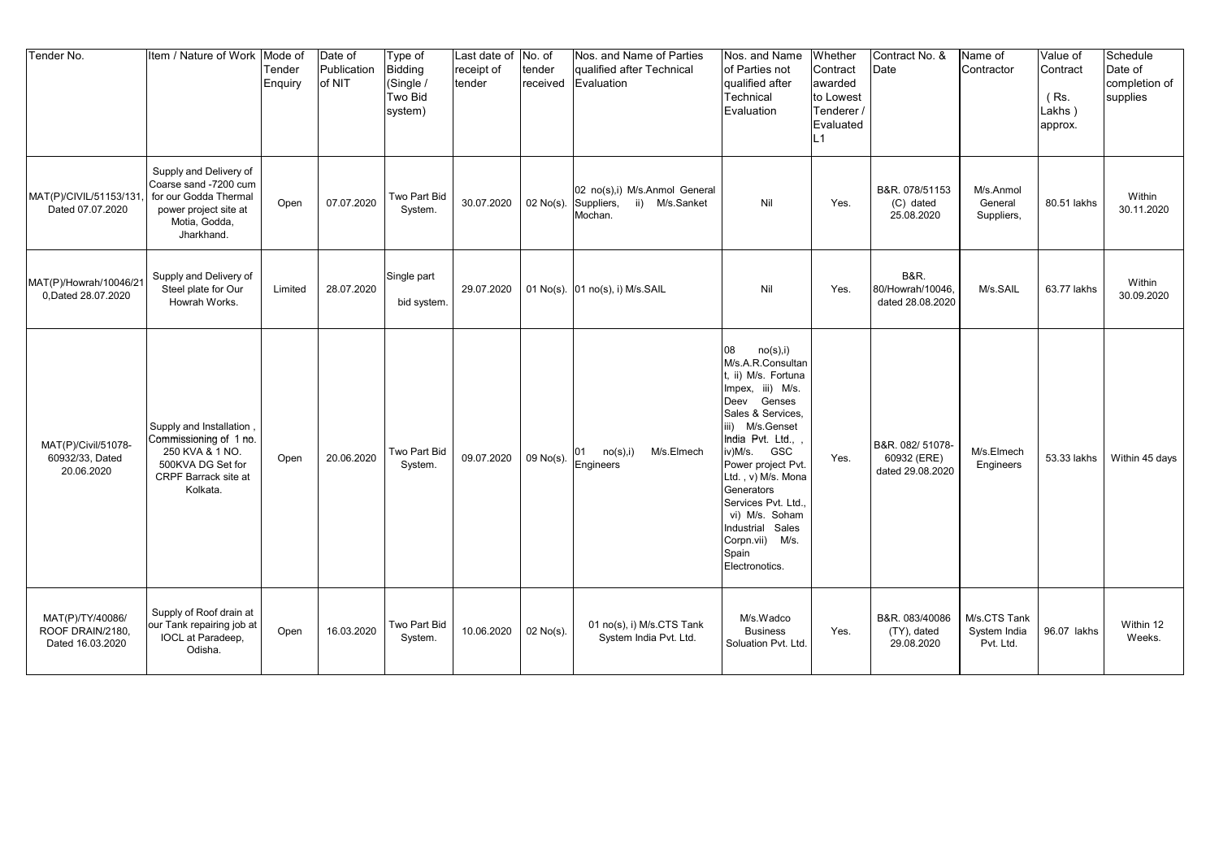| Tender No.                                               | Item / Nature of Work Mode of                                                                                                    | Tender<br>Enquiry | Date of<br>Publication<br>of NIT | Type of<br>Bidding<br>(Single /<br><b>Two Bid</b><br>system) | Last date of No. of<br>receipt of<br>tender | tender<br>received | Nos. and Name of Parties<br>qualified after Technical<br>Evaluation      | Nos. and Name<br>of Parties not<br>qualified after<br>Technical<br>Evaluation                                                                                                                                                                                                                                                                        | Whether<br>Contract<br>awarded<br>to Lowest<br>Tenderer /<br>Evaluated<br>L1 | Contract No. &<br>Date                                  | Name of<br>Contractor                     | Value of<br>Contract<br>$(Rs)$ .<br>Lakhs)<br>approx. | Schedule<br>Date of<br>completion of<br>supplies |
|----------------------------------------------------------|----------------------------------------------------------------------------------------------------------------------------------|-------------------|----------------------------------|--------------------------------------------------------------|---------------------------------------------|--------------------|--------------------------------------------------------------------------|------------------------------------------------------------------------------------------------------------------------------------------------------------------------------------------------------------------------------------------------------------------------------------------------------------------------------------------------------|------------------------------------------------------------------------------|---------------------------------------------------------|-------------------------------------------|-------------------------------------------------------|--------------------------------------------------|
| MAT(P)/CIVIL/51153/131,<br>Dated 07.07.2020              | Supply and Delivery of<br>Coarse sand -7200 cum<br>for our Godda Thermal<br>power project site at<br>Motia, Godda,<br>Jharkhand. | Open              | 07.07.2020                       | Two Part Bid<br>System.                                      | 30.07.2020                                  | $02$ No(s).        | 02 no(s),i) M/s.Anmol General<br>Suppliers,<br>ii) M/s.Sanket<br>Mochan. | Nil                                                                                                                                                                                                                                                                                                                                                  | Yes.                                                                         | B&R. 078/51153<br>(C) dated<br>25.08.2020               | M/s.Anmol<br>General<br>Suppliers,        | 80.51 lakhs                                           | Within<br>30.11.2020                             |
| MAT(P)/Howrah/10046/21<br>0.Dated 28.07.2020             | Supply and Delivery of<br>Steel plate for Our<br>Howrah Works.                                                                   | Limited           | 28.07.2020                       | Single part<br>bid system.                                   | 29.07.2020                                  |                    | 01 No(s). 01 no(s), i) M/s.SAIL                                          | Nil                                                                                                                                                                                                                                                                                                                                                  | Yes.                                                                         | <b>B&amp;R.</b><br>80/Howrah/10046.<br>dated 28.08.2020 | M/s.SAIL                                  | 63.77 lakhs                                           | Within<br>30.09.2020                             |
| MAT(P)/Civil/51078-<br>60932/33, Dated<br>20.06.2020     | Supply and Installation,<br>Commissioning of 1 no.<br>250 KVA & 1 NO.<br>500KVA DG Set for<br>CRPF Barrack site at<br>Kolkata.   | Open              | 20.06.2020                       | Two Part Bid<br>System.                                      | 09.07.2020                                  | 09 No(s).          | no(s), i)<br>M/s.Elmech<br>01<br>Engineers                               | no(s), i)<br>08<br>M/s.A.R.Consultan<br>ii) M/s. Fortuna<br>Impex, iii) M/s.<br>Genses<br>Deev<br>Sales & Services,<br>M/s.Genset<br>liii)<br>India Pvt. Ltd.,<br>iv)M/s.<br>GSC<br>Power project Pvt.<br>Ltd., v) M/s. Mona<br>Generators<br>Services Pvt. Ltd.<br>vi) M/s. Soham<br>Industrial Sales<br>Corpn.vii) M/s.<br>Spain<br>Electronotics. | Yes.                                                                         | B&R. 082/51078-<br>60932 (ERE)<br>dated 29.08.2020      | M/s.Elmech<br>Engineers                   | 53.33 lakhs                                           | Within 45 days                                   |
| MAT(P)/TY/40086/<br>ROOF DRAIN/2180.<br>Dated 16.03.2020 | Supply of Roof drain at<br>our Tank repairing job at<br>IOCL at Paradeep,<br>Odisha.                                             | Open              | 16.03.2020                       | Two Part Bid<br>System.                                      | 10.06.2020                                  | $02$ No(s).        | 01 no(s), i) M/s.CTS Tank<br>System India Pvt. Ltd.                      | M/s.Wadco<br><b>Business</b><br>Soluation Pvt. Ltd.                                                                                                                                                                                                                                                                                                  | Yes.                                                                         | B&R. 083/40086<br>(TY), dated<br>29.08.2020             | M/s.CTS Tank<br>System India<br>Pvt. Ltd. | 96.07 lakhs                                           | Within 12<br>Weeks.                              |